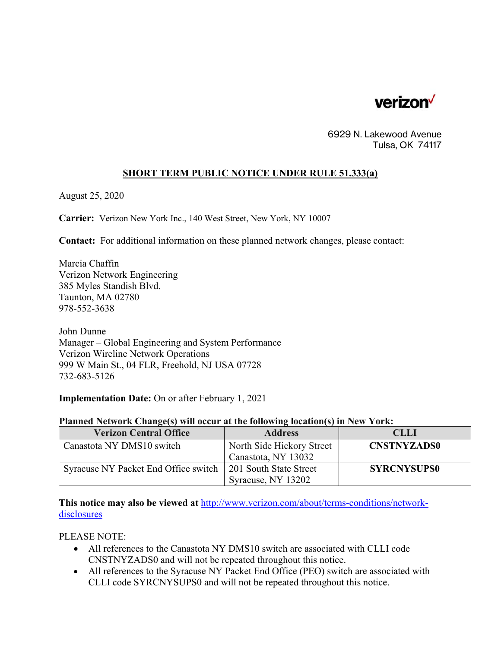

6929 N. Lakewood Avenue Tulsa, OK 74117

## **SHORT TERM PUBLIC NOTICE UNDER RULE 51.333(a)**

August 25, 2020

**Carrier:** Verizon New York Inc., 140 West Street, New York, NY 10007

**Contact:** For additional information on these planned network changes, please contact:

Marcia Chaffin Verizon Network Engineering 385 Myles Standish Blvd. Taunton, MA 02780 978-552-3638

John Dunne Manager – Global Engineering and System Performance Verizon Wireline Network Operations 999 W Main St., 04 FLR, Freehold, NJ USA 07728 732-683-5126

**Implementation Date:** On or after February 1, 2021

## **Planned Network Change(s) will occur at the following location(s) in New York:**

| <b>Verizon Central Office</b>        | <b>Address</b>            | <b>CLLI</b>        |
|--------------------------------------|---------------------------|--------------------|
| Canastota NY DMS10 switch            | North Side Hickory Street | <b>CNSTNYZADS0</b> |
|                                      | Canastota, NY 13032       |                    |
| Syracuse NY Packet End Office switch | 201 South State Street    | <b>SYRCNYSUPS0</b> |
|                                      | Syracuse, NY 13202        |                    |

**This notice may also be viewed at** http://www.verizon.com/about/terms-conditions/networkdisclosures

PLEASE NOTE:

- All references to the Canastota NY DMS10 switch are associated with CLLI code CNSTNYZADS0 and will not be repeated throughout this notice.
- All references to the Syracuse NY Packet End Office (PEO) switch are associated with CLLI code SYRCNYSUPS0 and will not be repeated throughout this notice.